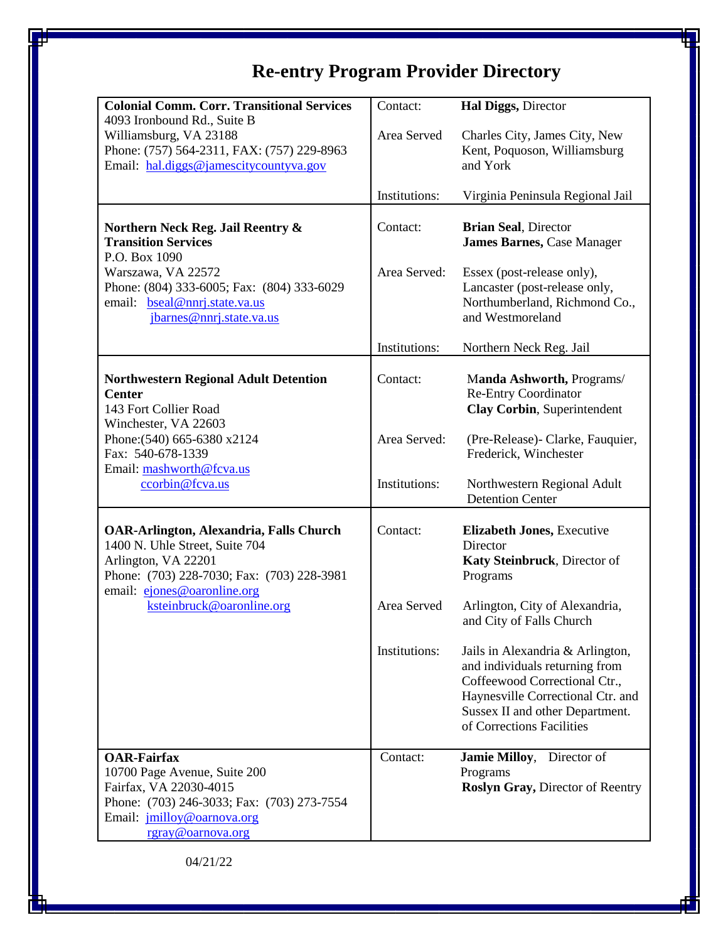## **Re-entry Program Provider Directory**

| <b>Colonial Comm. Corr. Transitional Services</b>                                                                                                                                              | Contact:      | Hal Diggs, Director                                                                                                                                                                                      |
|------------------------------------------------------------------------------------------------------------------------------------------------------------------------------------------------|---------------|----------------------------------------------------------------------------------------------------------------------------------------------------------------------------------------------------------|
| 4093 Ironbound Rd., Suite B<br>Williamsburg, VA 23188<br>Phone: (757) 564-2311, FAX: (757) 229-8963<br>Email: hal.diggs@jamescitycountyva.gov                                                  | Area Served   | Charles City, James City, New<br>Kent, Poquoson, Williamsburg<br>and York                                                                                                                                |
|                                                                                                                                                                                                | Institutions: | Virginia Peninsula Regional Jail                                                                                                                                                                         |
| Northern Neck Reg. Jail Reentry &<br><b>Transition Services</b><br>P.O. Box 1090                                                                                                               | Contact:      | <b>Brian Seal, Director</b><br><b>James Barnes, Case Manager</b>                                                                                                                                         |
| Warszawa, VA 22572<br>Phone: (804) 333-6005; Fax: (804) 333-6029<br>email: bseal@nnrj.state.va.us<br>jbarnes@nnrj.state.va.us                                                                  | Area Served:  | Essex (post-release only),<br>Lancaster (post-release only,<br>Northumberland, Richmond Co.,<br>and Westmoreland                                                                                         |
|                                                                                                                                                                                                | Institutions: | Northern Neck Reg. Jail                                                                                                                                                                                  |
| <b>Northwestern Regional Adult Detention</b><br><b>Center</b><br>143 Fort Collier Road<br>Winchester, VA 22603<br>Phone: (540) 665-6380 x2124<br>Fax: 540-678-1339<br>Email: mashworth@fcva.us | Contact:      | Manda Ashworth, Programs/<br><b>Re-Entry Coordinator</b><br>Clay Corbin, Superintendent                                                                                                                  |
|                                                                                                                                                                                                | Area Served:  | (Pre-Release)- Clarke, Fauquier,<br>Frederick, Winchester                                                                                                                                                |
| ccorbin@fcva.us                                                                                                                                                                                | Institutions: | Northwestern Regional Adult<br><b>Detention Center</b>                                                                                                                                                   |
| <b>OAR-Arlington, Alexandria, Falls Church</b><br>1400 N. Uhle Street, Suite 704<br>Arlington, VA 22201<br>Phone: (703) 228-7030; Fax: (703) 228-3981<br>email: ejones@oaronline.org           | Contact:      | <b>Elizabeth Jones, Executive</b><br>Director<br>Katy Steinbruck, Director of<br>Programs                                                                                                                |
| ksteinbruck@oaronline.org                                                                                                                                                                      | Area Served   | Arlington, City of Alexandria,<br>and City of Falls Church                                                                                                                                               |
|                                                                                                                                                                                                | Institutions: | Jails in Alexandria & Arlington,<br>and individuals returning from<br>Coffeewood Correctional Ctr.,<br>Haynesville Correctional Ctr. and<br>Sussex II and other Department.<br>of Corrections Facilities |
| <b>OAR-Fairfax</b><br>10700 Page Avenue, Suite 200<br>Fairfax, VA 22030-4015<br>Phone: (703) 246-3033; Fax: (703) 273-7554<br>Email: <i>jmilloy@oarnova.org</i><br>rgray@oarnova.org           | Contact:      | <b>Jamie Milloy,</b><br>Director of<br>Programs<br><b>Roslyn Gray, Director of Reentry</b>                                                                                                               |

04/21/22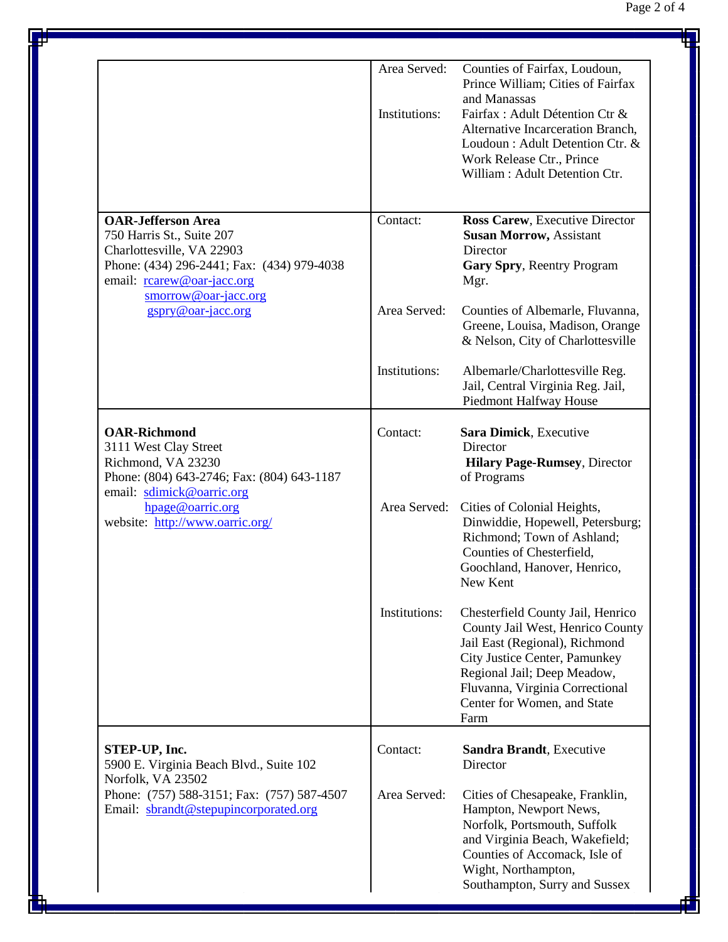|                                                                                                                                                                                                               | Area Served:<br>Institutions: | Counties of Fairfax, Loudoun,<br>Prince William; Cities of Fairfax<br>and Manassas<br>Fairfax: Adult Détention Ctr &<br>Alternative Incarceration Branch,<br>Loudoun: Adult Detention Ctr. &<br>Work Release Ctr., Prince<br>William: Adult Detention Ctr. |
|---------------------------------------------------------------------------------------------------------------------------------------------------------------------------------------------------------------|-------------------------------|------------------------------------------------------------------------------------------------------------------------------------------------------------------------------------------------------------------------------------------------------------|
| <b>OAR-Jefferson Area</b><br>750 Harris St., Suite 207<br>Charlottesville, VA 22903<br>Phone: (434) 296-2441; Fax: (434) 979-4038<br>email: rearew@oar-jacc.org<br>smorrow@oar-jacc.org<br>gspry@oar-jacc.org | Contact:                      | Ross Carew, Executive Director<br><b>Susan Morrow, Assistant</b><br>Director<br>Gary Spry, Reentry Program<br>Mgr.                                                                                                                                         |
|                                                                                                                                                                                                               | Area Served:                  | Counties of Albemarle, Fluvanna,<br>Greene, Louisa, Madison, Orange<br>& Nelson, City of Charlottesville                                                                                                                                                   |
|                                                                                                                                                                                                               | Institutions:                 | Albemarle/Charlottesville Reg.<br>Jail, Central Virginia Reg. Jail,<br>Piedmont Halfway House                                                                                                                                                              |
| <b>OAR-Richmond</b><br>3111 West Clay Street<br>Richmond, VA 23230<br>Phone: (804) 643-2746; Fax: (804) 643-1187<br>email: sdimick@oarric.org<br>hpage@oarric.org<br>website: http://www.oarric.org/          | Contact:                      | Sara Dimick, Executive<br>Director<br><b>Hilary Page-Rumsey</b> , Director<br>of Programs                                                                                                                                                                  |
|                                                                                                                                                                                                               | Area Served:                  | Cities of Colonial Heights,<br>Dinwiddie, Hopewell, Petersburg;<br>Richmond; Town of Ashland;<br>Counties of Chesterfield,<br>Goochland, Hanover, Henrico,<br>New Kent                                                                                     |
|                                                                                                                                                                                                               | Institutions:                 | Chesterfield County Jail, Henrico<br>County Jail West, Henrico County<br>Jail East (Regional), Richmond<br>City Justice Center, Pamunkey<br>Regional Jail; Deep Meadow,<br>Fluvanna, Virginia Correctional<br>Center for Women, and State<br>Farm          |
| STEP-UP, Inc.<br>5900 E. Virginia Beach Blvd., Suite 102<br>Norfolk, VA 23502<br>Phone: (757) 588-3151; Fax: (757) 587-4507<br>Email: sbrandt@stepupincorporated.org                                          | Contact:                      | Sandra Brandt, Executive<br>Director                                                                                                                                                                                                                       |
|                                                                                                                                                                                                               | Area Served:                  | Cities of Chesapeake, Franklin,<br>Hampton, Newport News,<br>Norfolk, Portsmouth, Suffolk<br>and Virginia Beach, Wakefield;<br>Counties of Accomack, Isle of<br>Wight, Northampton,<br>Southampton, Surry and Sussex                                       |

٥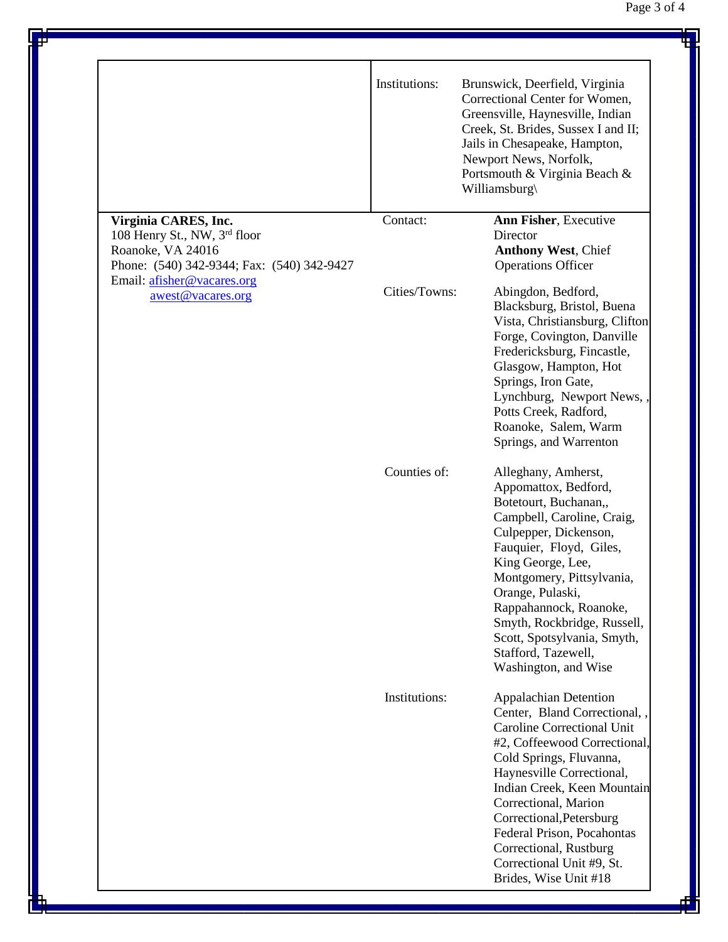|                                                                                                                                                                            | Institutions: | Brunswick, Deerfield, Virginia<br>Correctional Center for Women,<br>Greensville, Haynesville, Indian<br>Creek, St. Brides, Sussex I and II;<br>Jails in Chesapeake, Hampton,<br>Newport News, Norfolk,<br>Portsmouth & Virginia Beach &<br>Williamsburg\                                                                                                                                  |
|----------------------------------------------------------------------------------------------------------------------------------------------------------------------------|---------------|-------------------------------------------------------------------------------------------------------------------------------------------------------------------------------------------------------------------------------------------------------------------------------------------------------------------------------------------------------------------------------------------|
| Virginia CARES, Inc.<br>108 Henry St., NW, 3rd floor<br>Roanoke, VA 24016<br>Phone: (540) 342-9344; Fax: (540) 342-9427<br>Email: afisher@vacares.org<br>awest@vacares.org | Contact:      | Ann Fisher, Executive<br>Director<br><b>Anthony West, Chief</b><br><b>Operations Officer</b>                                                                                                                                                                                                                                                                                              |
|                                                                                                                                                                            | Cities/Towns: | Abingdon, Bedford,<br>Blacksburg, Bristol, Buena<br>Vista, Christiansburg, Clifton<br>Forge, Covington, Danville<br>Fredericksburg, Fincastle,<br>Glasgow, Hampton, Hot<br>Springs, Iron Gate,<br>Lynchburg, Newport News,<br>Potts Creek, Radford,<br>Roanoke, Salem, Warm<br>Springs, and Warrenton                                                                                     |
|                                                                                                                                                                            | Counties of:  | Alleghany, Amherst,<br>Appomattox, Bedford,<br>Botetourt, Buchanan,,<br>Campbell, Caroline, Craig,<br>Culpepper, Dickenson,<br>Fauquier, Floyd, Giles,<br>King George, Lee,<br>Montgomery, Pittsylvania,<br>Orange, Pulaski,<br>Rappahannock, Roanoke,<br>Smyth, Rockbridge, Russell,<br>Scott, Spotsylvania, Smyth,<br>Stafford, Tazewell,<br>Washington, and Wise                       |
|                                                                                                                                                                            | Institutions: | <b>Appalachian Detention</b><br>Center, Bland Correctional,<br><b>Caroline Correctional Unit</b><br>#2, Coffeewood Correctional,<br>Cold Springs, Fluvanna,<br>Haynesville Correctional,<br>Indian Creek, Keen Mountain<br>Correctional, Marion<br>Correctional, Petersburg<br>Federal Prison, Pocahontas<br>Correctional, Rustburg<br>Correctional Unit #9, St.<br>Brides, Wise Unit #18 |